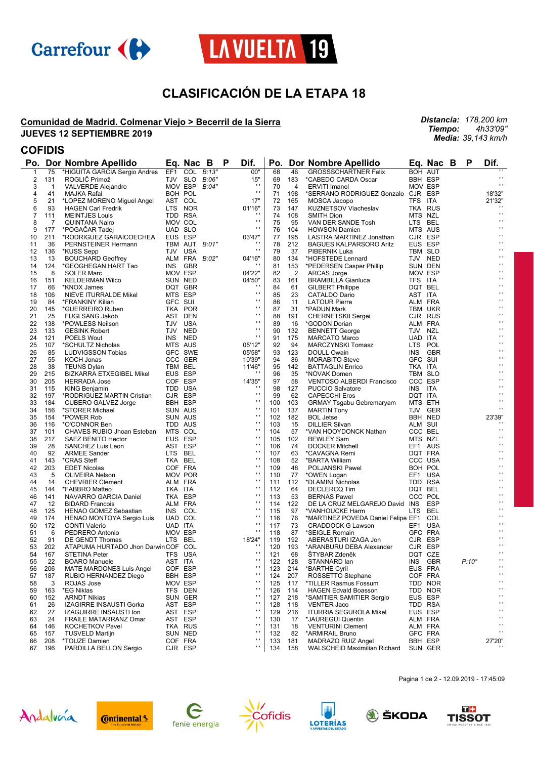



# **CLASIFICACIÓN DE LA ETAPA 18**

#### **Comunidad de Madrid. Colmenar Viejo > Becerril de la Sierra JUEVES 12 SEPTIEMBRE 2019**

*Distancia: 178,200 km Tiempo: 4h33'09" Media: 39,143 km/h*

### **COFIDIS**

| Po.         |     | Dor Nombre Apellido                 |         | Eq. Nac       | B | P | Dif.           | Po. |     | Dor Nombre Apellido                    |                | Eq. Nac B  | P     | Dif.                |
|-------------|-----|-------------------------------------|---------|---------------|---|---|----------------|-----|-----|----------------------------------------|----------------|------------|-------|---------------------|
| $\mathbf 1$ | 75  | *HIGUITA GARCIA Sergio Andres       | EF1     | COL B:13"     |   |   | 00"            | 68  | 46  | <b>GROSSSCHARTNER Felix</b>            | <b>BOH AUT</b> |            |       |                     |
| 2           | 131 | ROGLIĆ Primož                       |         | TJV SLO B:06" |   |   | 15"            | 69  | 183 | *CABEDO CARDA Oscar                    | <b>BBH ESP</b> |            |       | $\blacksquare$      |
| 3           | 1   | <b>VALVERDE Alejandro</b>           |         | MOV ESP B:04" |   |   | $\cdot$        | 70  | 4   | <b>ERVITI Imanol</b>                   | MOV ESP        |            |       | $\mathbf{r}$        |
| 4           | 41  | MAJKA Rafal                         |         | BOH POL       |   |   | $\mathbf{r}$   | 71  | 198 | *SERRANO RODRIGUEZ Gonzalo CJR ESP     |                |            |       | 18'32"              |
| 5           | 21  | *LOPEZ MORENO Miguel Angel          |         | AST COL       |   |   | 17"            | 72  | 165 | MOSCA Jacopo                           | TFS ITA        |            |       | 21'32"              |
| 6           | 93  | <b>HAGEN Carl Fredrik</b>           |         | LTS NOR       |   |   | 01'16"         | 73  | 147 | KUZNETSOV Viacheslav                   |                | TKA RUS    |       |                     |
| 7           | 111 |                                     |         | TDD RSA       |   |   | $\cdots$       | 74  | 108 | SMITH Dion                             | MTS NZL        |            |       | $\mathbf{r}$        |
|             |     | <b>MEINTJES Louis</b>               |         |               |   |   | $\cdot$        | 75  |     |                                        | LTS BEL        |            |       | $\mathbf{r}$        |
| 8           | 7   | <b>QUINTANA Nairo</b>               |         | MOV COL       |   |   | $\mathbf{r}$   |     | 95  | VAN DER SANDE Tosh                     |                |            |       | $\blacksquare$      |
| 9           | 177 | *POGACAR Tadej                      |         | UAD SLO       |   |   |                | 76  | 104 | <b>HOWSON Damien</b>                   | MTS AUS        |            |       | $\blacksquare$      |
| 10          | 211 | *RODRIGUEZ GARAICOECHEA             |         | EUS ESP       |   |   | 03'47"         | 77  | 195 | LASTRA MARTINEZ Jonathan               | CJR ESP        |            |       |                     |
| 11          | 36  | PERNSTEINER Hermann                 |         | TBM AUT B:01" |   |   | $\cdot$        | 78  | 212 | <b>BAGUES KALPARSORO Aritz</b>         | EUS ESP        |            |       | $\blacksquare$      |
| 12          | 136 | *KUSS Sepp                          |         | TJV USA       |   |   | $\mathbf{r}$ . | 79  | 37  | PIBERNIK Luka                          | TBM SLO        |            |       | $\blacksquare$      |
| 13          | 13  | <b>BOUCHARD Geoffrey</b>            |         | ALM FRA B:02" |   |   | 04'16"         | 80  | 134 | *HOFSTEDE Lennard                      |                | TJV NED    |       | $\blacksquare$      |
| 14          | 124 | *GEOGHEGAN HART Tao                 |         | INS GBR       |   |   | $\cdot$        | 81  | 153 | *PEDERSEN Casper Phillip               |                | SUN DEN    |       | $\blacksquare$      |
| 15          | 8   | <b>SOLER Marc</b>                   |         | MOV ESP       |   |   | 04'22"         | 82  | 2   | ARCAS Jorge                            | MOV ESP        |            |       | $\blacksquare$      |
| 16          | 151 | <b>KELDERMAN Wilco</b>              |         | SUN NED       |   |   | 04'50"         | 83  | 161 | <b>BRAMBILLA Gianluca</b>              | TFS ITA        |            |       | $\blacksquare$      |
| 17          | 66  | *KNOX James                         |         | DQT GBR       |   |   | $\cdot$        | 84  | 61  | <b>GILBERT Philippe</b>                | DQT BEL        |            |       | $\blacksquare$      |
| 18          | 106 | NIEVE ITURRALDE Mikel               |         | MTS ESP       |   |   | $\mathbf{r}$   | 85  | 23  | CATALDO Dario                          | AST ITA        |            |       | $\blacksquare$      |
| 19          | 84  | *FRANKINY Kilian                    | GFC SUI |               |   |   | $\mathbf{r}$   | 86  | 11  | <b>LATOUR Pierre</b>                   | ALM FRA        |            |       | $\blacksquare$      |
| 20          | 145 | *GUERREIRO Ruben                    |         | TKA POR       |   |   | $\cdot$        | 87  | 31  | *PADUN Mark                            |                | TBM UKR    |       | $\blacksquare$      |
|             | 25  |                                     |         | AST DEN       |   |   | $\mathbf{r}$   | 88  |     |                                        |                | CJR RUS    |       | $\blacksquare$      |
| 21          |     | <b>FUGLSANG Jakob</b>               |         |               |   |   | $\mathbf{r}$   |     | 191 | <b>CHERNETSKII Sergei</b>              |                |            |       | $\blacksquare$      |
| 22          | 138 | *POWLESS Neilson                    |         | TJV USA       |   |   | $\mathbf{r}$   | 89  | 16  | *GODON Dorian                          | ALM FRA        |            |       | $\blacksquare$      |
| 23          | 133 | <b>GESINK Robert</b>                |         | TJV NED       |   |   | $\mathbf{r}$   | 90  | 132 | <b>BENNETT George</b>                  | TJV NZL        |            |       | $\blacksquare$      |
| 24          | 121 | POELS Wout                          |         | INS NED       |   |   |                | 91  | 175 | <b>MARCATO Marco</b>                   | UAD ITA        |            |       |                     |
| 25          | 107 | *SCHULTZ Nicholas                   |         | MTS AUS       |   |   | 05'12"         | 92  | 94  | <b>MARCZYNSKI Tomasz</b>               | LTS POL        |            |       | $\blacksquare$      |
| 26          | 85  | LUDVIGSSON Tobias                   |         | GFC SWE       |   |   | 05'58"         | 93  | 123 | DOULL Owain                            | <b>INS</b>     | <b>GBR</b> |       | $\blacksquare$      |
| 27          | 55  | KOCH Jonas                          |         | CCC GER       |   |   | 10'39"         | 94  | 86  | <b>MORABITO Steve</b>                  | GFC SUI        |            |       | $\blacksquare$      |
| 28          | 38  | <b>TEUNS Dylan</b>                  |         | TBM BEL       |   |   | 11'46"         | 95  | 142 | <b>BATTAGLIN Enrico</b>                | TKA ITA        |            |       | $\blacksquare$      |
| 29          | 215 | <b>BIZKARRA ETXEGIBEL Mikel</b>     |         | EUS ESP       |   |   | $\cdots$       | 96  | 35  | *NOVAK Domen                           | TBM SLO        |            |       | $\blacksquare$      |
| 30          | 205 | <b>HERRADA Jose</b>                 |         | COF ESP       |   |   | 14'35"         | 97  | 58  | <b>VENTOSO ALBERDI Francisco</b>       | CCC ESP        |            |       | $\blacksquare$      |
| 31          | 115 | KING Benjamin                       |         | TDD USA       |   |   | $\cdots$       | 98  | 127 | <b>PUCCIO Salvatore</b>                | INS ITA        |            |       | $\blacksquare$      |
| 32          |     |                                     |         | CJR ESP       |   |   | $\cdot$        | 99  | 62  |                                        |                |            |       | $\mathbf{r}$        |
|             | 197 | *RODRIGUEZ MARTIN Cristian          |         |               |   |   | $\mathbf{r}$   |     |     | <b>CAPECCHI Eros</b>                   | DQT ITA        |            |       | $\blacksquare$      |
| 33          | 184 | CUBERO GALVEZ Jorge                 |         | BBH ESP       |   |   | $\mathbf{r}$   | 100 | 103 | <b>GRMAY Tsgabu Gebremaryam</b>        | MTS ETH        |            |       | $\blacksquare$      |
| 34          | 156 | *STORER Michael                     |         | SUN AUS       |   |   |                | 101 | 137 | <b>MARTIN Tony</b>                     |                | TJV GER    |       |                     |
| 35          | 154 | *POWER Rob                          |         | SUN AUS       |   |   | $\cdot$        | 102 | 182 | <b>BOL</b> Jetse                       |                | BBH NED    |       | 23'39"              |
| 36          | 116 | *O'CONNOR Ben                       |         | TDD AUS       |   |   | $\mathbf{r}$   | 103 | 15  | <b>DILLIER Silvan</b>                  | ALM SUI        |            |       |                     |
| 37          | 101 | CHAVES RUBIO Jhoan Esteban          |         | MTS COL       |   |   | $\mathbf{r}$ . | 104 | 57  | *VAN HOOYDONCK Nathan                  | CCC BEL        |            |       | $\mathbf{r}$        |
| 38          | 217 | SAEZ BENITO Hector                  |         | EUS ESP       |   |   | $\cdot$        | 105 | 102 | <b>BEWLEY Sam</b>                      | MTS NZL        |            |       | $\blacksquare$      |
| 39          | 28  | SANCHEZ Luis Leon                   |         | AST ESP       |   |   | $\mathbf{r}$   | 106 | 74  | <b>DOCKER Mitchell</b>                 |                | EF1 AUS    |       | $\blacksquare$      |
| 40          | 92  | <b>ARMEE Sander</b>                 |         | LTS BEL       |   |   | $\mathbf{r}$   | 107 | 63  | *CAVAGNA Remi                          |                | DQT FRA    |       | $\mathbf{r}$        |
| 41          | 143 | *CRAS Steff                         |         | TKA BEL       |   |   | $\cdot$        | 108 | 52  | *BARTA William                         |                | CCC USA    |       | $\mathbf{r}$        |
| 42          | 203 | <b>EDET Nicolas</b>                 |         | COF FRA       |   |   | $\mathbf{r}$   | 109 | 48  | POLJANSKI Pawel                        |                | BOH POL    |       | $\blacksquare$      |
| 43          | 5   | <b>OLIVEIRA Nelson</b>              |         | MOV POR       |   |   | $\mathbf{r}$ . | 110 | 77  | *OWEN Logan                            |                | EF1 USA    |       | $\blacksquare$      |
| 44          | 14  | <b>CHEVRIER Clement</b>             |         | ALM FRA       |   |   | $\cdot$        | 111 | 112 | *DLAMINI Nicholas                      |                | TDD RSA    |       | $\blacksquare$      |
| 45          |     |                                     | TKA ITA |               |   |   | $\mathbf{r}$   | 112 | 64  |                                        | DQT BEL        |            |       | $\blacksquare$      |
|             | 144 | *FABBRO Matteo                      |         |               |   |   | $\mathbf{r}$   |     |     | DECLERCQ Tim                           |                |            |       | $\blacksquare$      |
| 46          | 141 | NAVARRO GARCIA Daniel               |         | TKA ESP       |   |   | $\cdot$        | 113 | 53  | <b>BERNAS Pawel</b>                    | CCC POL        |            |       | $\blacksquare$      |
| 47          | 12  | <b>BIDARD Francois</b>              |         | ALM FRA       |   |   | $\mathbf{r}$   | 114 | 122 | DE LA CRUZ MELGAREJO David INS ESP     |                |            |       | $\blacksquare$      |
| 48          | 125 | HENAO GOMEZ Sebastian               |         | INS COL       |   |   |                | 115 | 97  | *VANHOUCKE Harm                        | LTS BEL        |            |       |                     |
| 49          | 174 | HENAO MONTOYA Sergio Luis           |         | UAD COL       |   |   | $\mathbf{r}$   | 116 | 76  | *MARTINEZ POVEDA Daniel Felipe EF1 COL |                |            |       | $\blacksquare$      |
| 50          | 172 | <b>CONTI Valerio</b>                | UAD ITA |               |   |   | $\cdot$        | 117 | 73  | <b>CRADDOCK G Lawson</b>               |                | EF1 USA    |       | $\blacksquare$      |
| 51          | 6   | PEDRERO Antonio                     |         | MOV ESP       |   |   | $\mathbf{r}$ . | 118 | 87  | *SEIGLE Romain                         |                | GFC FRA    |       | $\blacksquare$      |
| 52          | 91  | DE GENDT Thomas                     |         | LTS BEL       |   |   | 18'24"         | 119 | 192 | ABERASTURI IZAGA Jon                   | CJR ESP        |            |       | $\blacksquare$      |
| 53          | 202 | ATAPUMA HURTADO Jhon Darwin COF COL |         |               |   |   | $\cdot$        | 120 | 193 | *ARANBURU DEBA Alexander               | CJR ESP        |            |       | $\blacksquare$      |
| 54          | 167 | <b>STETINA Peter</b>                |         | TFS USA       |   |   | $\mathbf{r}$   | 121 | 68  | STYBAR Zdeněk                          |                | DQT CZE    |       | $\blacksquare$      |
| 55          | 22  | <b>BOARO Manuele</b>                | AST ITA |               |   |   | $\sim$         | 122 | 128 | STANNARD lan                           |                | INS GBR    | P:10" | $\mathbf{r}$        |
| 56          | 206 | <b>MATE MARDONES Luis Angel</b>     |         | COF ESP       |   |   | $\cdot$        | 123 | 214 | *BARTHE Cyril                          | EUS FRA        |            |       | .,                  |
| 57          | 187 | RUBIO HERNANDEZ Diego               |         | BBH ESP       |   |   | $\mathbf{r}$   | 124 | 207 | ROSSETTO Stephane                      |                | COF FRA    |       | $\mathbf{r}$        |
|             |     |                                     |         |               |   |   | $\mathbf{r}$   |     |     | *TILLER Rasmus Fossum                  |                |            |       | $\bar{\phantom{a}}$ |
| 58          | 3   | ROJAS Jose                          |         | MOV ESP       |   |   | $\mathbf{r}$   | 125 | 117 |                                        |                | TDD NOR    |       | $\blacksquare$      |
| 59          | 163 | *EG Niklas                          |         | TFS DEN       |   |   | $\cdot$        | 126 | 114 | <b>HAGEN Edvald Boasson</b>            |                | TDD NOR    |       | $\blacksquare$      |
| 60          | 152 | <b>ARNDT Nikias</b>                 |         | SUN GER       |   |   |                | 127 | 218 | *SAMITIER SAMITIER Sergio              |                | EUS ESP    |       | $\blacksquare$      |
| 61          | 26  | IZAGIRRE INSAUSTI Gorka             |         | AST ESP       |   |   | $\mathbf{r}$   | 128 | 118 | <b>VENTER Jaco</b>                     |                | TDD RSA    |       |                     |
| 62          | 27  | <b>IZAGUIRRE INSAUSTI Ion</b>       |         | AST ESP       |   |   | $\mathbf{r}$   | 129 | 216 | <b>ITURRIA SEGUROLA Mikel</b>          |                | EUS ESP    |       | $\blacksquare$      |
| 63          | 24  | <b>FRAILE MATARRANZ Omar</b>        |         | AST ESP       |   |   | $\cdot$        | 130 | 17  | *JAUREGUI Quentin                      |                | ALM FRA    |       | $\blacksquare$      |
| 64          | 146 | <b>KOCHETKOV Pavel</b>              |         | TKA RUS       |   |   | $\mathbf{r}$   | 131 | 18  | <b>VENTURINI Clement</b>               |                | ALM FRA    |       | $\blacksquare$      |
| 65          | 157 | <b>TUSVELD Martijn</b>              |         | SUN NED       |   |   | $\blacksquare$ | 132 | 82  | *ARMIRAIL Bruno                        |                | GFC FRA    |       | $\blacksquare$      |
| 66          | 208 | *TOUZE Damien                       |         | COF FRA       |   |   | $\mathbf{r}$   | 133 | 181 | MADRAZO RUIZ Angel                     |                | BBH ESP    |       | 27'20"              |
| 67          | 196 | PARDILLA BELLON Sergio              |         | CJR ESP       |   |   | $\mathbf{r}$   | 134 | 158 | WALSCHEID Maximilian Richard           |                | SUN GER    |       |                     |















Pagina 1 de 2 - 12.09.2019 - 17:45:09